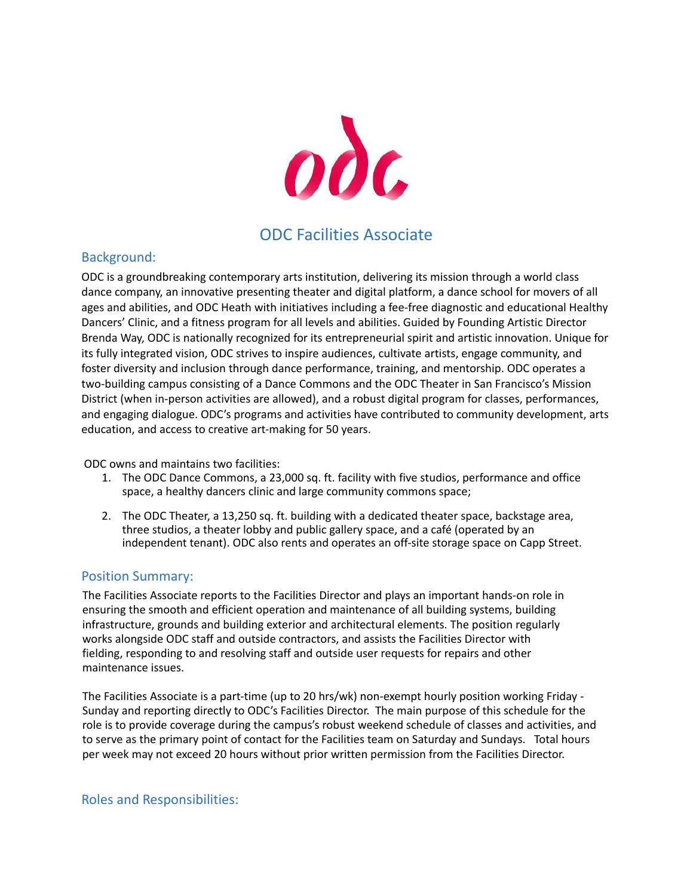

# ODC Facilities Associate

# Background:

ODC is a groundbreaking contemporary arts institution, delivering its mission through a world class dance company, an innovative presenting theater and digital platform, a dance school for movers of all ages and abilities, and ODC Heath with initiatives including a fee-free diagnostic and educational Healthy Dancers' Clinic, and a fitness program for all levels and abilities. Guided by Founding Artistic Director Brenda Way, ODC is nationally recognized for its entrepreneurial spirit and artistic innovation. Unique for its fully integrated vision, ODC strives to inspire audiences, cultivate artists, engage community, and foster diversity and inclusion through dance performance, training, and mentorship. ODC operates a two-building campus consisting of a Dance Commons and the ODC Theater in San Francisco's Mission District (when in-person activities are allowed), and a robust digital program for classes, performances, and engaging dialogue. ODC's programs and activities have contributed to community development, arts education, and access to creative art-making for 50 years.

ODC owns and maintains two facilities:

- 1. The ODC Dance Commons, a 23,000 sq. ft. facility with five studios, performance and office space, a healthy dancers clinic and large community commons space;
- 2. The ODC Theater, a 13,250 sq. ft. building with a dedicated theater space, backstage area, three studios, a theater lobby and public gallery space, and a café (operated by an independent tenant). ODC also rents and operates an off-site storage space on Capp Street.

# Position Summary:

The Facilities Associate reports to the Facilities Director and plays an important hands-on role in ensuring the smooth and efficient operation and maintenance of all building systems, building infrastructure, grounds and building exterior and architectural elements. The position regularly works alongside ODC staff and outside contractors, and assists the Facilities Director with fielding, responding to and resolving staff and outside user requests for repairs and other maintenance issues.

The Facilities Associate is a part-time (up to 20 hrs/wk) non-exempt hourly position working Friday - Sunday and reporting directly to ODC's Facilities Director. The main purpose of this schedule for the role is to provide coverage during the campus's robust weekend schedule of classes and activities, and to serve as the primary point of contact for the Facilities team on Saturday and Sundays. Total hours per week may not exceed 20 hours without prior written permission from the Facilities Director.

## Roles and Responsibilities: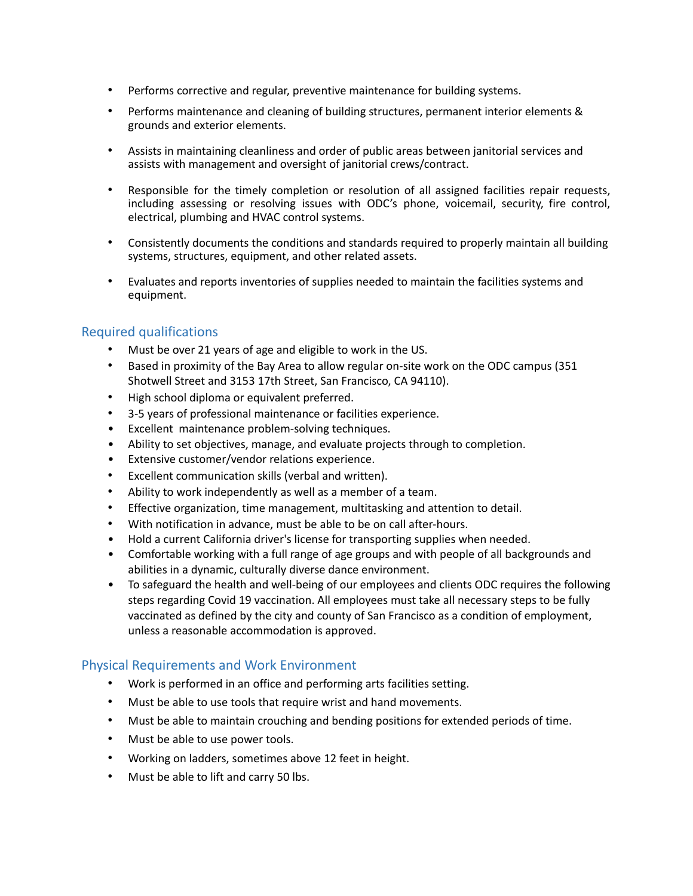- Performs corrective and regular, preventive maintenance for building systems.
- Performs maintenance and cleaning of building structures, permanent interior elements & grounds and exterior elements.
- Assists in maintaining cleanliness and order of public areas between janitorial services and assists with management and oversight of janitorial crews/contract.
- Responsible for the timely completion or resolution of all assigned facilities repair requests, including assessing or resolving issues with ODC's phone, voicemail, security, fire control, electrical, plumbing and HVAC control systems.
- Consistently documents the conditions and standards required to properly maintain all building systems, structures, equipment, and other related assets.
- Evaluates and reports inventories of supplies needed to maintain the facilities systems and equipment.

## Required qualifications

- Must be over 21 years of age and eligible to work in the US.
- Based in proximity of the Bay Area to allow regular on-site work on the ODC campus (351 Shotwell Street and 3153 17th Street, San Francisco, CA 94110).
- High school diploma or equivalent preferred.
- 3-5 years of professional maintenance or facilities experience.
- Excellent maintenance problem-solving techniques.
- Ability to set objectives, manage, and evaluate projects through to completion.
- Extensive customer/vendor relations experience.
- Excellent communication skills (verbal and written).
- Ability to work independently as well as a member of a team.
- Effective organization, time management, multitasking and attention to detail.
- With notification in advance, must be able to be on call after-hours.
- Hold a current California driver's license for transporting supplies when needed.
- Comfortable working with a full range of age groups and with people of all backgrounds and abilities in a dynamic, culturally diverse dance environment.
- To safeguard the health and well-being of our employees and clients ODC requires the following steps regarding Covid 19 vaccination. All employees must take all necessary steps to be fully vaccinated as defined by the city and county of San Francisco as a condition of employment, unless a reasonable accommodation is approved.

## Physical Requirements and Work Environment

- Work is performed in an office and performing arts facilities setting.
- Must be able to use tools that require wrist and hand movements.
- Must be able to maintain crouching and bending positions for extended periods of time.
- Must be able to use power tools.
- Working on ladders, sometimes above 12 feet in height.
- Must be able to lift and carry 50 lbs.